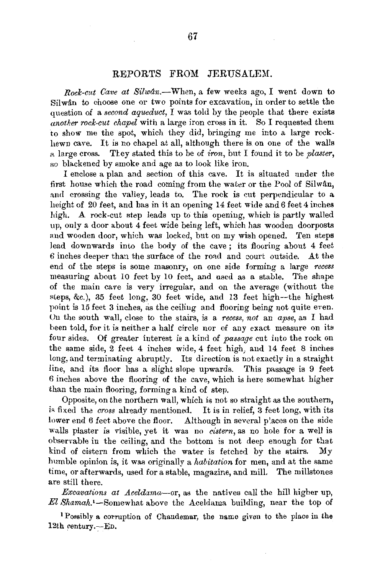## REPORTS FROM JERUSALEM.

*Rock-cut Cave at Silwan.*-When, a few weeks ago, I went down to Silwân to choose one or two points for excavation, in order to settle the question of a *second aqueduct*,  $\overline{I}$  was told by the people that there exists *another rock-cut chapel* with a large iron cross in it. So I requested them 'to show me the spot, which they did, bringing me into a large rockhewn cave. It is no chapel at all, although there is on one of the walls a large cross. They stated this to be of *iron*, but I found it to be *plaster*, so blackened by smoke and age as to look like iron.

I enclose a plan and section of this cave. It is situated under the first house which the road coming from the water or the Pool of Silwân, and crossing the valley, leads to. The rock is cut perpendicular to a height of 20 feet, and has in it an opening 14 feet wide and 6 feet 4 inches high. A rock-cut step leads up to this opening, which is partly walled up, only a door about 4 feet wide being left, which has wooden doorposts and wooden door, which was locked, but on my wish opened. Ten steps lead downwards into the body of the cave ; its flooring about 4 feet  $6$  inches deeper than the surface of the road and court outside. At the end of the steps is some masonry, on one side forming a large *recess*  measuring about 10 feet by 10 feet, and used as a stable. The shape of the main cave is very irregular, and on the average (without the steps, &c.), 35 feet long, 30 feet wide, and 13 feet high--the highest point is 15 feet 3 inches, as the ceiling and flooring being not quite even. On the south wall, close to the stairs, is a *recess, not* an *apse,* as I had been told, for it is neither a half circle nor of any exact measure on its four sides. Of greater interest is a kind of *passage* cut into the rock on the same side, 2 feet 4 inches wide, 4 feet high, and 14 feet 8 inches long, and terminating abruptly. Its direction is not exactly in a straight line, and its floor has a slight slope upwards. This passage is 9 feet 6 inches above the flooring of the cave, which is here somewhat higher than the main flooring, forming a kind of step.

Opposite, on the northern wall, which is not so straight as the southem, is fixed the *cross* already mentioned. It is in relief, 3 feet long, with its lower end 6 feet above the floor. Although in several places on the side walls plaster is visible, yet it was no *cistern,* as no hole for a well is observable in the ceiling, and the bottom is not deep enough for that kind of cistern from which the water is fetched by the stairs. My humble opinion is, it was originally a *habitation* for men, and at the same time, or afterwards, used for a stable, magazine, and mill. The millstones are still there.

*Excavations at Aceldama-or,* as the natives call the hill higher up, *El* Shamah.•-Somewhat above the Aceldama building, near the top of

<sup>1</sup>Possibly a corruption of Chaudemar, the name given to the place in the 12th century.- $E$ D.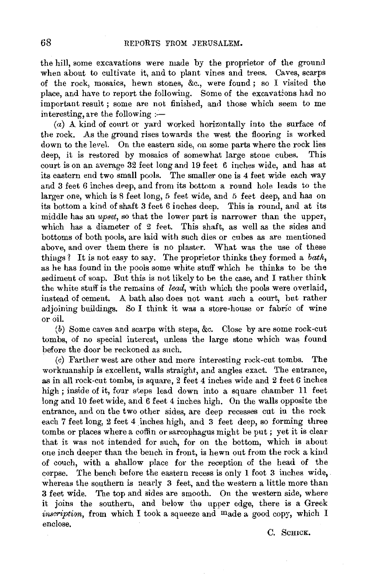the hill, some excavations were made by the proprietor of the ground when about to cultivate it, and to plant vines and trees. Caves, scarps of the rock, mosaics, hewn stones, &c., were found ; so I visited the place, and have to report the following. Some of the excavations had no important result; some are not finished, and those which seem to me interesting, are the following :-

(a) A kind of court or yard worked horizontally into the surface of the rock. As the ground rises towards the west the flooring is worked down to the level. On the eastern side, on some parts where the rock lies deep, it is restored by mosaics of somewhat large stone cubes. This court is on an average 32 feet long and 19 feet 6 inches wide, and has at its eastern end two small pools. The smaller one is 4 feet wide each way and 3 feet 6 inches deep, and from its bottom a round hole leads to the larger one, which is 8 feet long, 5 feet wide, and 5 feet deep, and has on its bottom a kind of shaft 3 feet 6 inches deep. This is round, and at its middle has an *upset*, so that the lower part is narrower than the upper. which has a diameter of 2 feet. This shaft, as well as the sides and bottoms of both pools, are laid with such dies or cubes as are mentioned above, and over them there is no plaster. What was the use of these things ? It is not easy to say. The proprietor thinks they formed a *bath,*  as he has found in the pools some white stuff which he thinks to be the sediment of soap. But this is not likely to be the case, and I rather think the white stuff is the remains of *lead,* with which the pools were overlaid, instead of cement. A bath also does not want such a court, but rather adjoining buildings. So I think it was a store-house or fabric of wine or oil.

(b) Some caves and scarps with steps, &c. Close by are some rock-cut tombs, of no special interest, unless the large stone which was found before the door be reckoned as such.

(c) Farther west are other and more interesting rock-cut tombs. The workmanship is excellent, walls straight, and angles exact. The entrance, as in all rock-cut tombs, is square, 2 feet 4 inches wide and 2 feet 6 inches high ; inside of it, four steps lead down into a square chamber 11 feet long and 10 feet wide, and 6 feet 4 inches high. On the walls opposite the entrance, and on the two other sides, are deep recesses cut in the rock each 7 feet long, 2 feet 4 inches high, and 3 feet deep, so forming three tombs or places where a coffin or sarcophagus might be put ; yet it is clear that it was not intended for such, for on the bottom, which is about one inch deeper than the bench in front, is hewn out from the rock a kind of couch, with a shallow place for the reception of the head of the corpse. The bench before the eastern recess is only 1 foot 3 inches wide, whereas the southern is nearly 3 feet, and the western a little more than 3 feet wide. The top and sides are smooth. On the western side, where it joins the southern, and below the upper edge, there is a Greek *inscription,* from which I took a squeeze and made a good copy, which I enclose.

c. SCHICK.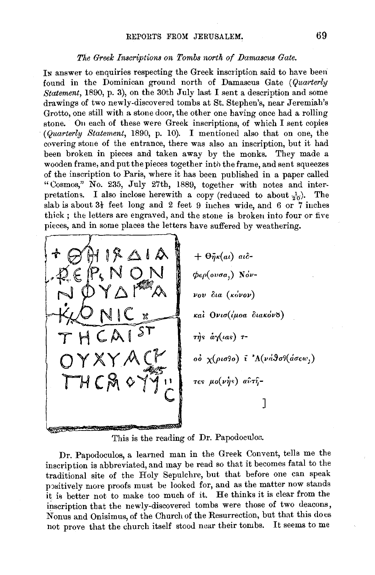## *The Greek Inscriptions on Tombs north of Damascus Gate.*

In answer to enquiries respecting the Greek inscription said to have been found in the Dominican ground north of Damascus Gate *(Quarterly Statement,* 1890, p. 3), on the 30th July last I sent a description and some drawings of two newly-discovered tombs at St. Stephen's, near Jeremiah's Grotto, one still with a stone door, the other one having once had a rolling stone. On each of these were Greek inscriptions, of which I sent copies *(Quarterly Statement,* 1890, p. 10). I mentioneu also that on one, the covering stone of the entrance, there was also an inscription, but it had been broken in pieces and taken away by the monks. They made a wooden frame, and put the pieces together into the frame, and sent squeezes of the inscription to Paris, where it has been published in a paper called "Cosmos," No. 235, July 27th, 1889, together with notes and interpretations. I also inclose herewith a copy (reduced to about  $\frac{1}{20}$ ). The slab is about  $3\frac{1}{2}$  feet. long and 2 feet 9 inches wide, and 6 or 7 inches thick ; the letters are engraved, and the stone is broken into four or five pieces, and in some places the letters have suffered by weathering.



This is the reading of Dr. Papodoculos.

Dr. Papodoculos, a learned man in the Greek Convent, tells me the inscription is abbreviated, and may be read so that it becomes fatal to the traditional site of the Holy Sepulchre, but that before one can speak positively more proofs must be looked for, and as the matter now stands it is better not to make too much of it. He thinks it is clear from the inscription that the newly-discovered tombs were those of two deacons, Nonus and Onisimus, of the Church of the Resurrection, but that this does not prove that the church itself stood near their tombs. It seems to me